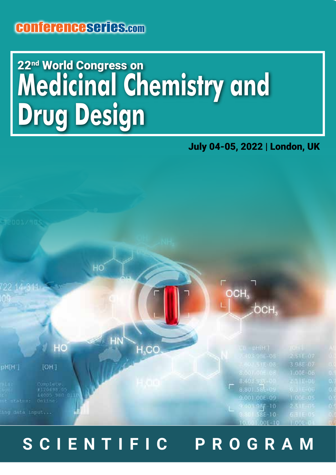### conferenceseries.com

## **Medicinal Chemistry and Drug Design** 22<sup>nd</sup> World Congress on

#### July 04-05, 2022 | London, UK



### **SCIENTIFIC PROGRAM**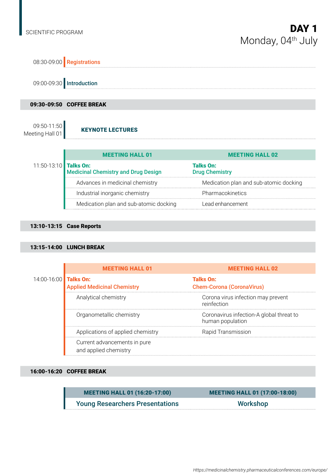

#### 13:10-13:15 Case Reports

#### 13:15-14:00 LUNCH BREAK

|                       | <b>MEETING HALL 01</b>                                | <b>MEETING HALL 02</b>                                       |
|-----------------------|-------------------------------------------------------|--------------------------------------------------------------|
| 14:00-16:00 Talks On: | <b>Applied Medicinal Chemistry</b>                    | <b>Talks On:</b><br><b>Chem-Corona (CoronaVirus)</b>         |
|                       | Analytical chemistry                                  | Corona virus infection may prevent<br>reinfection            |
|                       | Organometallic chemistry                              | Coronavirus infection-A global threat to<br>human population |
|                       | Applications of applied chemistry                     | Rapid Transmission                                           |
|                       | Current advancements in pure<br>and applied chemistry |                                                              |

#### 16:00-16:20 COFFEE BREAK

| <b>MEETING HALL 01 (16:20-17:00)</b>   | <b>MEETING HALL 01 (17:00-18:00)</b> |
|----------------------------------------|--------------------------------------|
| <b>Young Researchers Presentations</b> | Workshop                             |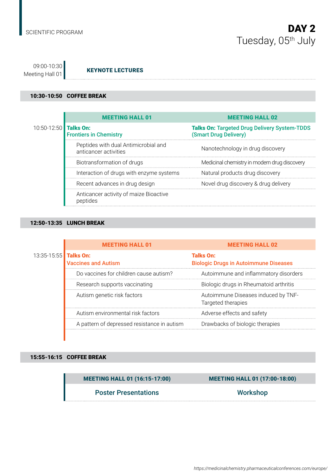09:00-10:30<br>Meeting Hall 01 **KEYNOTE LECTURES** 

#### 10:30-10:50 COFFEE BREAK

|                       | <b>MEETING HALL 01</b>                                        | <b>MEETING HALL 02</b>                                                       |
|-----------------------|---------------------------------------------------------------|------------------------------------------------------------------------------|
| 10:50-12:50 Talks On: | <b>Frontiers in Chemistry</b>                                 | <b>Talks On: Targeted Drug Delivery System-TDDS</b><br>(Smart Drug Delivery) |
|                       | Peptides with dual Antimicrobial and<br>anticancer activities | Nanotechnology in drug discovery                                             |
|                       | Biotransformation of drugs                                    | Medicinal chemistry in modern drug discovery                                 |
|                       | Interaction of drugs with enzyme systems                      | Natural products drug discovery                                              |
|                       | Recent advances in drug design                                | Novel drug discovery & drug delivery                                         |
|                       | Anticancer activity of maize Bioactive<br>peptides            |                                                                              |

#### 12:50-13:35 LUNCH BREAK

|                       | <b>MEETING HALL 01</b>                      | <b>MEETING HALL 02</b>                                           |
|-----------------------|---------------------------------------------|------------------------------------------------------------------|
| 13:35-15:55 Talks On: | <b>Vaccines and Autism</b>                  | <b>Talks On:</b><br><b>Biologic Drugs in Autoimmune Diseases</b> |
|                       | Do vaccines for children cause autism?      | Autoimmune and inflammatory disorders                            |
|                       | Research supports vaccinating               | Biologic drugs in Rheumatoid arthritis                           |
|                       | Autism genetic risk factors                 | Autoimmune Diseases induced by TNF-<br>Targeted therapies        |
|                       | Autism environmental risk factors           | Adverse effects and safety                                       |
|                       | A pattern of depressed resistance in autism | Drawbacks of biologic therapies                                  |

#### 15:55-16:15 COFFEE BREAK

MEETING HALL 01 (16:15-17:00) MEETING HALL 01 (17:00-18:00)

Poster Presentations Norkshop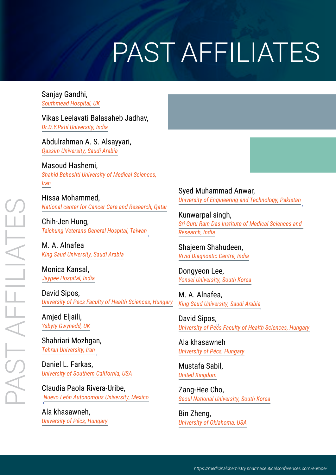# PAST AFFILIATES

Sanjay Gandhi, *Southmead Hospital, UK*

Vikas Leelavati Balasaheb Jadhav, *Dr.D.Y.Patil University, India*

Abdulrahman A. S. Alsayyari, *Qassim University, Saudi Arabia*

Masoud Hashemi, *Shahid Beheshti University of Medical Sciences, Iran*

Hissa Mohammed, *National center for Cancer Care and Research, Qatar*

Chih-Jen Hung, *Taichung Veterans General Hospital, Taiwan*

M. A. Alnafea *King Saud University, Saudi Arabia*

Monica Kansal, *Jaypee Hospital, India*

David Sipos, *University of Pecs Faculty of Health Sciences, Hungary*

Amjed Eljaili, *Ysbyty Gwynedd, UK*

Shahriari Mozhgan, *Tehran University, Iran*

Daniel L. Farkas, *University of Southern California, USA*

Claudia Paola Rivera-Uribe, *Nuevo León Autonomous University, Mexico*

Ala khasawneh, *University of Pécs, Hungary* Syed Muhammad Anwar, *University of Engineering and Technology, Pakistan*

Kunwarpal singh, *Sri Guru Ram Das Institute of Medical Sciences and Research, India*

Shajeem Shahudeen, *Vivid Diagnostic Centre, India*

Dongyeon Lee, *Yonsei University, South Korea*

M. A. Alnafea, *King Saud University, Saudi Arabia*

David Sipos, *University of Pecs Faculty of Health Sciences, Hungary*

Ala khasawneh *University of Pécs, Hungary*

Mustafa Sabil, *United Kingdom*

Zang-Hee Cho, *Seoul National University, South Korea*

Bin Zheng, *University of Oklahoma, USA*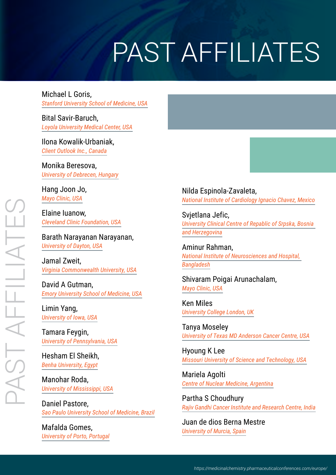# PAST AFFILIATES

Michael L Goris, *Stanford University School of Medicine, USA*

Bital Savir-Baruch, *Loyola University Medical Center, USA*

#### Ilona Kowalik-Urbaniak, *Client Outlook Inc., Canada*

Monika Beresova, *University of Debrecen, Hungary*

Hang Joon Jo, *Mayo Clinic, USA*

Elaine Iuanow, *Cleveland Clinic Foundation, USA*

Barath Narayanan Narayanan, *University of Dayton, USA*

Jamal Zweit, *Virginia Commonwealth University, USA*

David A Gutman, *Emory University School of Medicine, USA*

Limin Yang, *University of Iowa, USA*

Tamara Feygin, *University of Pennsylvania, USA*

Hesham El Sheikh, *Benha University, Egypt*

Manohar Roda, *University of Mississippi, USA*

Daniel Pastore, *Sao Paulo University School of Medicine, Brazil*

Mafalda Gomes, *University of Porto, Portugal* Nilda Espinola-Zavaleta, *National Institute of Cardiology Ignacio Chavez, Mexico*

Svietlana Jefic. *University Clinical Centre of Repablic of Srpska, Bosnia and Herzegovina*

Aminur Rahman, *National Institute of Neurosciences and Hospital, Bangladesh*

Shivaram Poigai Arunachalam, *Mayo Clinic, USA*

Ken Miles *University College London, UK*

Tanya Moseley *University of Texas MD Anderson Cancer Centre, USA*

Hyoung K Lee *Missouri University of Science and Technology, USA*

Mariela Agolti *Centre of Nuclear Medicine, Argentina*

Partha S Choudhury *Rajiv Gandhi Cancer Institute and Research Centre, India*

Juan de dios Berna Mestre *University of Murcia, Spain*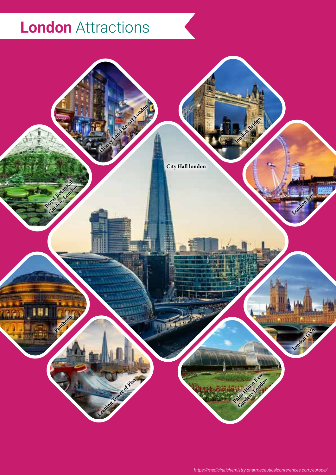## **London** Attractions